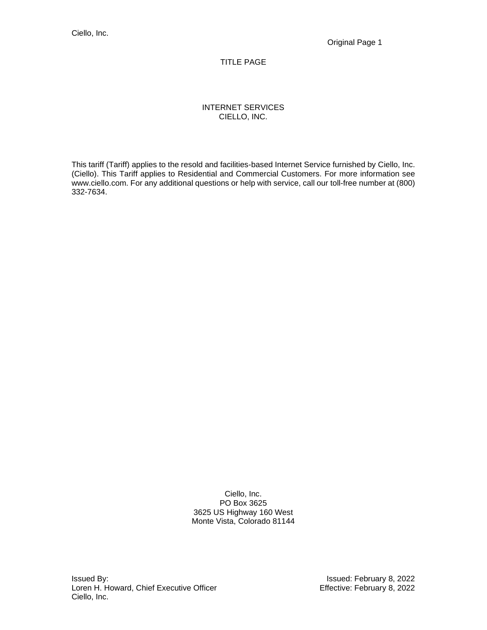# TITLE PAGE

# INTERNET SERVICES CIELLO, INC.

This tariff (Tariff) applies to the resold and facilities-based Internet Service furnished by Ciello, Inc. (Ciello). This Tariff applies to Residential and Commercial Customers. For more information see www.ciello.com. For any additional questions or help with service, call our toll-free number at (800) 332-7634.

> Ciello, Inc. PO Box 3625 3625 US Highway 160 West Monte Vista, Colorado 81144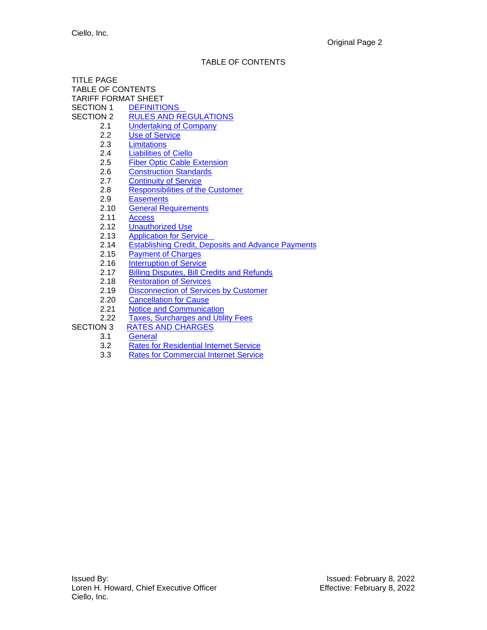# TABLE OF CONTENTS

| <b>TABLE OF CONTENTS</b>                                  |
|-----------------------------------------------------------|
| <b>TARIFF FORMAT SHEET</b>                                |
| SECTION 1<br><b>DEFINITIONS</b>                           |
| <b>RULES AND REGULATIONS</b>                              |
| <b>Undertaking of Company</b>                             |
| <b>Use of Service</b>                                     |
| Limitations                                               |
| <b>Liabilities of Ciello</b>                              |
| <b>Fiber Optic Cable Extension</b>                        |
| <b>Construction Standards</b>                             |
| <b>Continuity of Service</b>                              |
| <b>Responsibilities of the Customer</b>                   |
| <b>Easements</b>                                          |
| <b>General Requirements</b>                               |
| <b>Access</b>                                             |
| <b>Unauthorized Use</b>                                   |
| <b>Application for Service</b>                            |
| <b>Establishing Credit, Deposits and Advance Payments</b> |
| <b>Payment of Charges</b>                                 |
| <b>Interruption of Service</b>                            |
| <b>Billing Disputes, Bill Credits and Refunds</b>         |
| <b>Restoration of Services</b>                            |
| <b>Disconnection of Services by Customer</b>              |
| <b>Cancellation for Cause</b>                             |
| <b>Notice and Communication</b>                           |
| <b>Taxes, Surcharges and Utility Fees</b>                 |
| <b>RATES AND CHARGES</b>                                  |
| General                                                   |
| <b>Rates for Residential Internet Service</b>             |
| <b>Rates for Commercial Internet Service</b>              |
|                                                           |
|                                                           |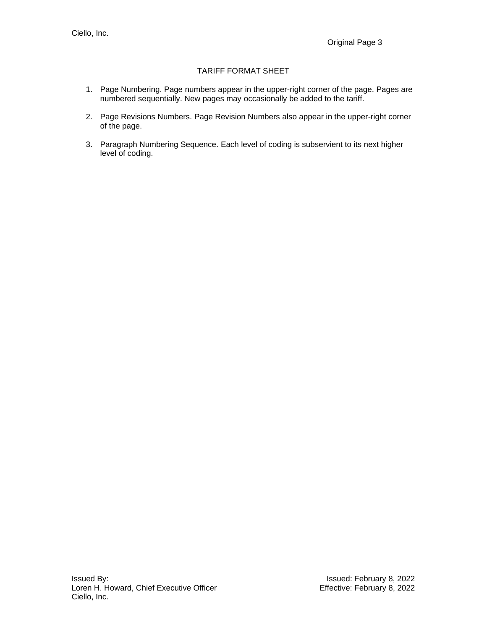# TARIFF FORMAT SHEET

- 1. Page Numbering. Page numbers appear in the upper-right corner of the page. Pages are numbered sequentially. New pages may occasionally be added to the tariff.
- 2. Page Revisions Numbers. Page Revision Numbers also appear in the upper-right corner of the page.
- 3. Paragraph Numbering Sequence. Each level of coding is subservient to its next higher level of coding.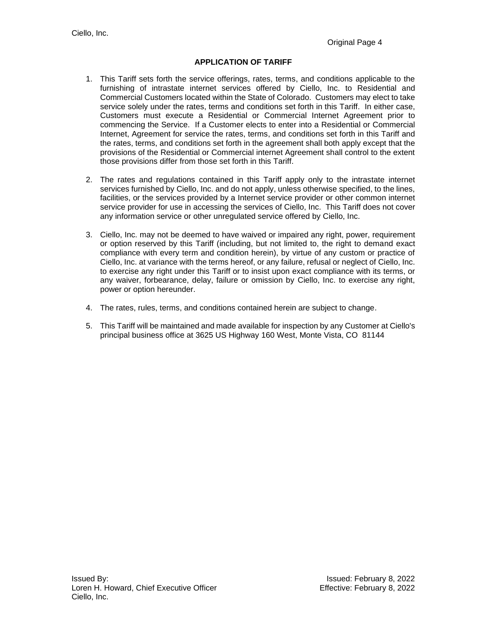# **APPLICATION OF TARIFF**

- 1. This Tariff sets forth the service offerings, rates, terms, and conditions applicable to the furnishing of intrastate internet services offered by Ciello, Inc. to Residential and Commercial Customers located within the State of Colorado. Customers may elect to take service solely under the rates, terms and conditions set forth in this Tariff. In either case, Customers must execute a Residential or Commercial Internet Agreement prior to commencing the Service. If a Customer elects to enter into a Residential or Commercial Internet, Agreement for service the rates, terms, and conditions set forth in this Tariff and the rates, terms, and conditions set forth in the agreement shall both apply except that the provisions of the Residential or Commercial internet Agreement shall control to the extent those provisions differ from those set forth in this Tariff.
- 2. The rates and regulations contained in this Tariff apply only to the intrastate internet services furnished by Ciello, Inc. and do not apply, unless otherwise specified, to the lines, facilities, or the services provided by a Internet service provider or other common internet service provider for use in accessing the services of Ciello, Inc. This Tariff does not cover any information service or other unregulated service offered by Ciello, Inc.
- 3. Ciello, Inc. may not be deemed to have waived or impaired any right, power, requirement or option reserved by this Tariff (including, but not limited to, the right to demand exact compliance with every term and condition herein), by virtue of any custom or practice of Ciello, Inc. at variance with the terms hereof, or any failure, refusal or neglect of Ciello, Inc. to exercise any right under this Tariff or to insist upon exact compliance with its terms, or any waiver, forbearance, delay, failure or omission by Ciello, Inc. to exercise any right, power or option hereunder.
- 4. The rates, rules, terms, and conditions contained herein are subject to change.
- 5. This Tariff will be maintained and made available for inspection by any Customer at Ciello's principal business office at 3625 US Highway 160 West, Monte Vista, CO 81144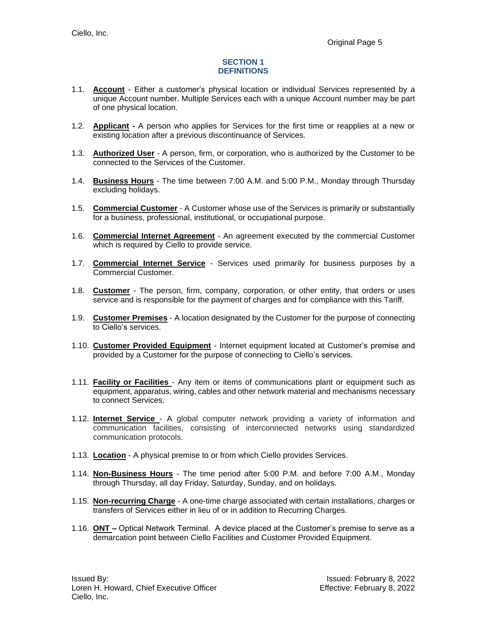#### **SECTION 1 DEFINITIONS**

- <span id="page-4-0"></span>1.1. **Account** - Either a customer's physical location or individual Services represented by a unique Account number. Multiple Services each with a unique Account number may be part of one physical location.
- 1.2. **Applicant -** A person who applies for Services for the first time or reapplies at a new or existing location after a previous discontinuance of Services.
- 1.3. **Authorized User** A person, firm, or corporation, who is authorized by the Customer to be connected to the Services of the Customer.
- 1.4. **Business Hours** The time between 7:00 A.M. and 5:00 P.M., Monday through Thursday excluding holidays.
- 1.5. **Commercial Customer** A Customer whose use of the Services is primarily or substantially for a business, professional, institutional, or occupational purpose.
- 1.6. **Commercial Internet Agreement** An agreement executed by the commercial Customer which is required by Ciello to provide service.
- 1.7. **Commercial Internet Service** Services used primarily for business purposes by a Commercial Customer.
- 1.8. **Customer** The person, firm, company, corporation, or other entity, that orders or uses service and is responsible for the payment of charges and for compliance with this Tariff.
- 1.9. **Customer Premises** A location designated by the Customer for the purpose of connecting to Ciello's services.
- 1.10. **Customer Provided Equipment** Internet equipment located at Customer's premise and provided by a Customer for the purpose of connecting to Ciello's services.
- 1.11. **Facility or Facilities** Any item or items of communications plant or equipment such as equipment, apparatus, wiring, cables and other network material and mechanisms necessary to connect Services.
- 1.12. **Internet Service** A global computer network providing a variety of information and communication facilities, consisting of interconnected networks using standardized communication protocols.
- 1.13. **Location** A physical premise to or from which Ciello provides Services.
- 1.14. **Non-Business Hours** The time period after 5:00 P.M. and before 7:00 A.M., Monday through Thursday, all day Friday, Saturday, Sunday, and on holidays.
- 1.15. **Non-recurring Charge** A one-time charge associated with certain installations, charges or transfers of Services either in lieu of or in addition to Recurring Charges.
- 1.16. **ONT –** Optical Network Terminal. A device placed at the Customer's premise to serve as a demarcation point between Ciello Facilities and Customer Provided Equipment.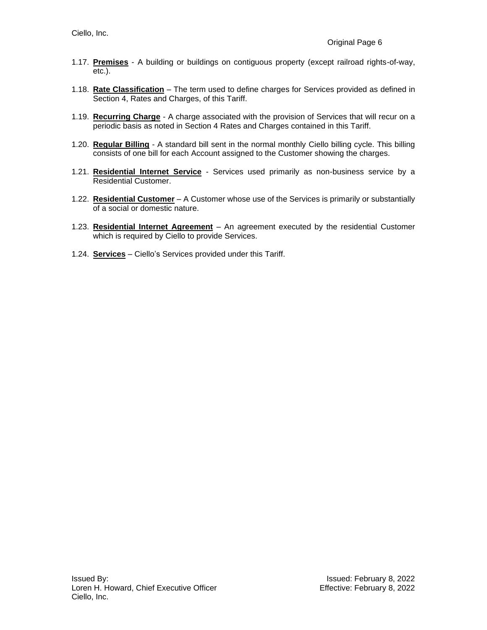- 1.17. **Premises** A building or buildings on contiguous property (except railroad rights-of-way, etc.).
- 1.18. **Rate Classification** The term used to define charges for Services provided as defined in Section 4, Rates and Charges, of this Tariff.
- 1.19. **Recurring Charge** A charge associated with the provision of Services that will recur on a periodic basis as noted in Section 4 Rates and Charges contained in this Tariff.
- 1.20. **Regular Billing** A standard bill sent in the normal monthly Ciello billing cycle. This billing consists of one bill for each Account assigned to the Customer showing the charges.
- 1.21. **Residential Internet Service** Services used primarily as non-business service by a Residential Customer.
- 1.22. **Residential Customer** A Customer whose use of the Services is primarily or substantially of a social or domestic nature.
- 1.23. **Residential Internet Agreement** An agreement executed by the residential Customer which is required by Ciello to provide Services.
- <span id="page-5-0"></span>1.24. **Services** – Ciello's Services provided under this Tariff.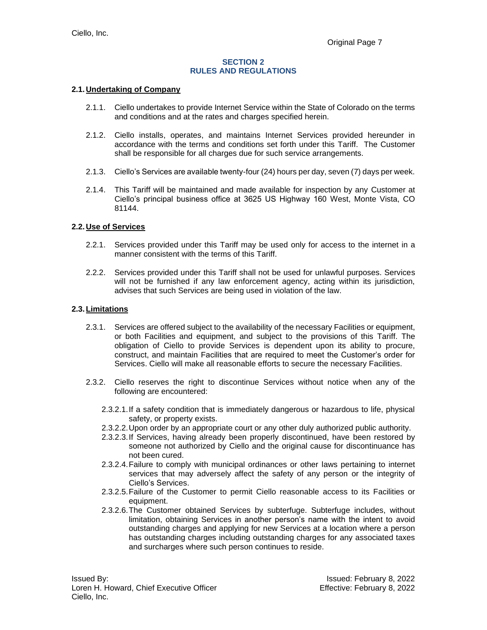#### **SECTION 2 RULES AND REGULATIONS**

#### <span id="page-6-0"></span>**2.1.Undertaking of Company**

- 2.1.1. Ciello undertakes to provide Internet Service within the State of Colorado on the terms and conditions and at the rates and charges specified herein.
- 2.1.2. Ciello installs, operates, and maintains Internet Services provided hereunder in accordance with the terms and conditions set forth under this Tariff. The Customer shall be responsible for all charges due for such service arrangements.
- 2.1.3. Ciello's Services are available twenty-four (24) hours per day, seven (7) days per week.
- 2.1.4. This Tariff will be maintained and made available for inspection by any Customer at Ciello's principal business office at 3625 US Highway 160 West, Monte Vista, CO 81144.

#### <span id="page-6-1"></span>**2.2.Use of Services**

- 2.2.1. Services provided under this Tariff may be used only for access to the internet in a manner consistent with the terms of this Tariff.
- 2.2.2. Services provided under this Tariff shall not be used for unlawful purposes. Services will not be furnished if any law enforcement agency, acting within its jurisdiction, advises that such Services are being used in violation of the law.

#### <span id="page-6-2"></span>**2.3.Limitations**

- 2.3.1. Services are offered subject to the availability of the necessary Facilities or equipment, or both Facilities and equipment, and subject to the provisions of this Tariff. The obligation of Ciello to provide Services is dependent upon its ability to procure, construct, and maintain Facilities that are required to meet the Customer's order for Services. Ciello will make all reasonable efforts to secure the necessary Facilities.
- 2.3.2. Ciello reserves the right to discontinue Services without notice when any of the following are encountered:
	- 2.3.2.1.If a safety condition that is immediately dangerous or hazardous to life, physical safety, or property exists.
	- 2.3.2.2.Upon order by an appropriate court or any other duly authorized public authority.
	- 2.3.2.3.If Services, having already been properly discontinued, have been restored by someone not authorized by Ciello and the original cause for discontinuance has not been cured.
	- 2.3.2.4.Failure to comply with municipal ordinances or other laws pertaining to internet services that may adversely affect the safety of any person or the integrity of Ciello's Services.
	- 2.3.2.5.Failure of the Customer to permit Ciello reasonable access to its Facilities or equipment.
	- 2.3.2.6.The Customer obtained Services by subterfuge. Subterfuge includes, without limitation, obtaining Services in another person's name with the intent to avoid outstanding charges and applying for new Services at a location where a person has outstanding charges including outstanding charges for any associated taxes and surcharges where such person continues to reside.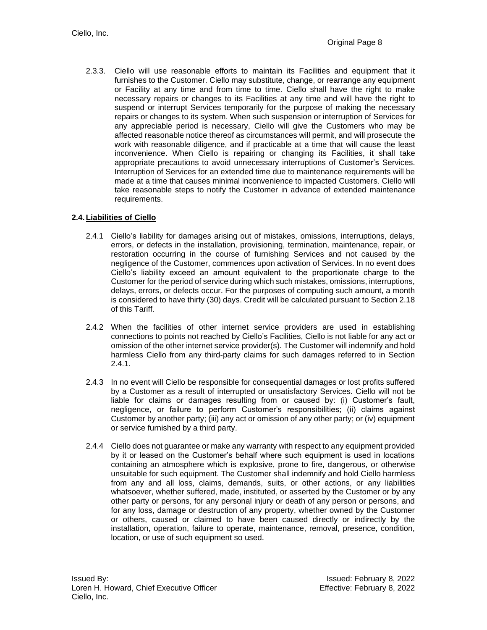2.3.3. Ciello will use reasonable efforts to maintain its Facilities and equipment that it furnishes to the Customer. Ciello may substitute, change, or rearrange any equipment or Facility at any time and from time to time. Ciello shall have the right to make necessary repairs or changes to its Facilities at any time and will have the right to suspend or interrupt Services temporarily for the purpose of making the necessary repairs or changes to its system. When such suspension or interruption of Services for any appreciable period is necessary, Ciello will give the Customers who may be affected reasonable notice thereof as circumstances will permit, and will prosecute the work with reasonable diligence, and if practicable at a time that will cause the least inconvenience. When Ciello is repairing or changing its Facilities, it shall take appropriate precautions to avoid unnecessary interruptions of Customer's Services. Interruption of Services for an extended time due to maintenance requirements will be made at a time that causes minimal inconvenience to impacted Customers. Ciello will take reasonable steps to notify the Customer in advance of extended maintenance requirements.

## <span id="page-7-0"></span>**2.4.Liabilities of Ciello**

- 2.4.1 Ciello's liability for damages arising out of mistakes, omissions, interruptions, delays, errors, or defects in the installation, provisioning, termination, maintenance, repair, or restoration occurring in the course of furnishing Services and not caused by the negligence of the Customer, commences upon activation of Services. In no event does Ciello's liability exceed an amount equivalent to the proportionate charge to the Customer for the period of service during which such mistakes, omissions, interruptions, delays, errors, or defects occur. For the purposes of computing such amount, a month is considered to have thirty (30) days. Credit will be calculated pursuant to Section 2.18 of this Tariff.
- 2.4.2 When the facilities of other internet service providers are used in establishing connections to points not reached by Ciello's Facilities, Ciello is not liable for any act or omission of the other internet service provider(s). The Customer will indemnify and hold harmless Ciello from any third-party claims for such damages referred to in Section  $2.4.1.$
- 2.4.3 In no event will Ciello be responsible for consequential damages or lost profits suffered by a Customer as a result of interrupted or unsatisfactory Services. Ciello will not be liable for claims or damages resulting from or caused by: (i) Customer's fault, negligence, or failure to perform Customer's responsibilities; (ii) claims against Customer by another party; (iii) any act or omission of any other party; or (iv) equipment or service furnished by a third party.
- 2.4.4 Ciello does not guarantee or make any warranty with respect to any equipment provided by it or leased on the Customer's behalf where such equipment is used in locations containing an atmosphere which is explosive, prone to fire, dangerous, or otherwise unsuitable for such equipment. The Customer shall indemnify and hold Ciello harmless from any and all loss, claims, demands, suits, or other actions, or any liabilities whatsoever, whether suffered, made, instituted, or asserted by the Customer or by any other party or persons, for any personal injury or death of any person or persons, and for any loss, damage or destruction of any property, whether owned by the Customer or others, caused or claimed to have been caused directly or indirectly by the installation, operation, failure to operate, maintenance, removal, presence, condition, location, or use of such equipment so used.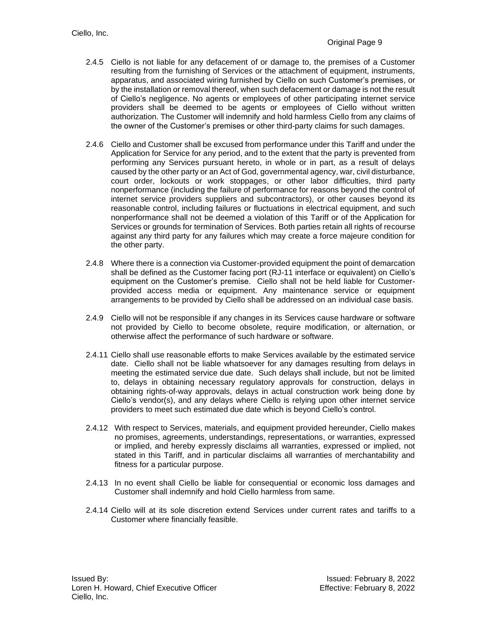- 2.4.5 Ciello is not liable for any defacement of or damage to, the premises of a Customer resulting from the furnishing of Services or the attachment of equipment, instruments, apparatus, and associated wiring furnished by Ciello on such Customer's premises, or by the installation or removal thereof, when such defacement or damage is not the result of Ciello's negligence. No agents or employees of other participating internet service providers shall be deemed to be agents or employees of Ciello without written authorization. The Customer will indemnify and hold harmless Ciello from any claims of the owner of the Customer's premises or other third-party claims for such damages.
- 2.4.6 Ciello and Customer shall be excused from performance under this Tariff and under the Application for Service for any period, and to the extent that the party is prevented from performing any Services pursuant hereto, in whole or in part, as a result of delays caused by the other party or an Act of God, governmental agency, war, civil disturbance, court order, lockouts or work stoppages, or other labor difficulties, third party nonperformance (including the failure of performance for reasons beyond the control of internet service providers suppliers and subcontractors), or other causes beyond its reasonable control, including failures or fluctuations in electrical equipment, and such nonperformance shall not be deemed a violation of this Tariff or of the Application for Services or grounds for termination of Services. Both parties retain all rights of recourse against any third party for any failures which may create a force majeure condition for the other party.
- 2.4.8 Where there is a connection via Customer-provided equipment the point of demarcation shall be defined as the Customer facing port (RJ-11 interface or equivalent) on Ciello's equipment on the Customer's premise. Ciello shall not be held liable for Customerprovided access media or equipment. Any maintenance service or equipment arrangements to be provided by Ciello shall be addressed on an individual case basis.
- 2.4.9 Ciello will not be responsible if any changes in its Services cause hardware or software not provided by Ciello to become obsolete, require modification, or alternation, or otherwise affect the performance of such hardware or software.
- 2.4.11 Ciello shall use reasonable efforts to make Services available by the estimated service date. Ciello shall not be liable whatsoever for any damages resulting from delays in meeting the estimated service due date. Such delays shall include, but not be limited to, delays in obtaining necessary regulatory approvals for construction, delays in obtaining rights-of-way approvals, delays in actual construction work being done by Ciello's vendor(s), and any delays where Ciello is relying upon other internet service providers to meet such estimated due date which is beyond Ciello's control.
- 2.4.12 With respect to Services, materials, and equipment provided hereunder, Ciello makes no promises, agreements, understandings, representations, or warranties, expressed or implied, and hereby expressly disclaims all warranties, expressed or implied, not stated in this Tariff, and in particular disclaims all warranties of merchantability and fitness for a particular purpose.
- 2.4.13 In no event shall Ciello be liable for consequential or economic loss damages and Customer shall indemnify and hold Ciello harmless from same.
- 2.4.14 Ciello will at its sole discretion extend Services under current rates and tariffs to a Customer where financially feasible.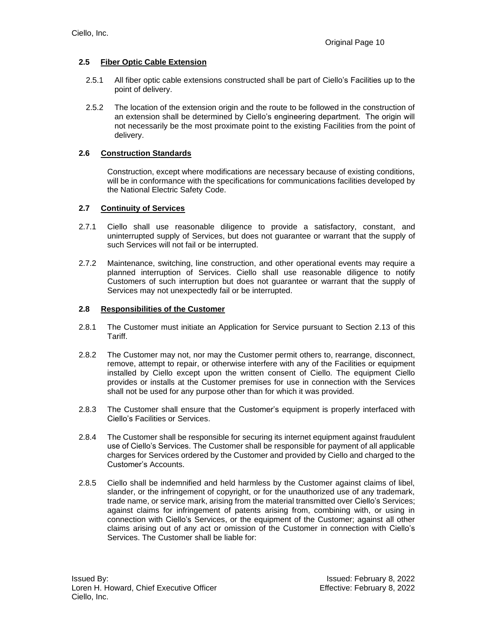## <span id="page-9-0"></span>**2.5 Fiber Optic Cable Extension**

- 2.5.1 All fiber optic cable extensions constructed shall be part of Ciello's Facilities up to the point of delivery.
- 2.5.2 The location of the extension origin and the route to be followed in the construction of an extension shall be determined by Ciello's engineering department. The origin will not necessarily be the most proximate point to the existing Facilities from the point of delivery.

### <span id="page-9-1"></span>**2.6 Construction Standards**

Construction, except where modifications are necessary because of existing conditions, will be in conformance with the specifications for communications facilities developed by the National Electric Safety Code.

### <span id="page-9-2"></span>**2.7 Continuity of Services**

- 2.7.1 Ciello shall use reasonable diligence to provide a satisfactory, constant, and uninterrupted supply of Services, but does not guarantee or warrant that the supply of such Services will not fail or be interrupted.
- 2.7.2 Maintenance, switching, line construction, and other operational events may require a planned interruption of Services. Ciello shall use reasonable diligence to notify Customers of such interruption but does not guarantee or warrant that the supply of Services may not unexpectedly fail or be interrupted.

### <span id="page-9-3"></span>**2.8 Responsibilities of the Customer**

- 2.8.1 The Customer must initiate an Application for Service pursuant to Section 2.13 of this Tariff.
- 2.8.2 The Customer may not, nor may the Customer permit others to, rearrange, disconnect, remove, attempt to repair, or otherwise interfere with any of the Facilities or equipment installed by Ciello except upon the written consent of Ciello. The equipment Ciello provides or installs at the Customer premises for use in connection with the Services shall not be used for any purpose other than for which it was provided.
- 2.8.3 The Customer shall ensure that the Customer's equipment is properly interfaced with Ciello's Facilities or Services.
- 2.8.4 The Customer shall be responsible for securing its internet equipment against fraudulent use of Ciello's Services. The Customer shall be responsible for payment of all applicable charges for Services ordered by the Customer and provided by Ciello and charged to the Customer's Accounts.
- 2.8.5 Ciello shall be indemnified and held harmless by the Customer against claims of libel, slander, or the infringement of copyright, or for the unauthorized use of any trademark, trade name, or service mark, arising from the material transmitted over Ciello's Services; against claims for infringement of patents arising from, combining with, or using in connection with Ciello's Services, or the equipment of the Customer; against all other claims arising out of any act or omission of the Customer in connection with Ciello's Services. The Customer shall be liable for: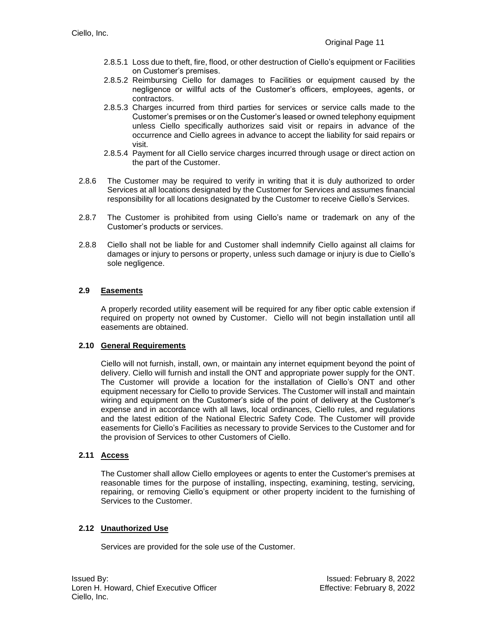- 2.8.5.1 Loss due to theft, fire, flood, or other destruction of Ciello's equipment or Facilities on Customer's premises.
- 2.8.5.2 Reimbursing Ciello for damages to Facilities or equipment caused by the negligence or willful acts of the Customer's officers, employees, agents, or contractors.
- 2.8.5.3 Charges incurred from third parties for services or service calls made to the Customer's premises or on the Customer's leased or owned telephony equipment unless Ciello specifically authorizes said visit or repairs in advance of the occurrence and Ciello agrees in advance to accept the liability for said repairs or visit.
- 2.8.5.4 Payment for all Ciello service charges incurred through usage or direct action on the part of the Customer.
- 2.8.6 The Customer may be required to verify in writing that it is duly authorized to order Services at all locations designated by the Customer for Services and assumes financial responsibility for all locations designated by the Customer to receive Ciello's Services.
- 2.8.7 The Customer is prohibited from using Ciello's name or trademark on any of the Customer's products or services.
- 2.8.8 Ciello shall not be liable for and Customer shall indemnify Ciello against all claims for damages or injury to persons or property, unless such damage or injury is due to Ciello's sole negligence.

## <span id="page-10-0"></span>**2.9 Easements**

A properly recorded utility easement will be required for any fiber optic cable extension if required on property not owned by Customer. Ciello will not begin installation until all easements are obtained.

### <span id="page-10-1"></span>**2.10 General Requirements**

Ciello will not furnish, install, own, or maintain any internet equipment beyond the point of delivery. Ciello will furnish and install the ONT and appropriate power supply for the ONT. The Customer will provide a location for the installation of Ciello's ONT and other equipment necessary for Ciello to provide Services. The Customer will install and maintain wiring and equipment on the Customer's side of the point of delivery at the Customer's expense and in accordance with all laws, local ordinances, Ciello rules, and regulations and the latest edition of the National Electric Safety Code. The Customer will provide easements for Ciello's Facilities as necessary to provide Services to the Customer and for the provision of Services to other Customers of Ciello.

### <span id="page-10-2"></span>**2.11 Access**

The Customer shall allow Ciello employees or agents to enter the Customer's premises at reasonable times for the purpose of installing, inspecting, examining, testing, servicing, repairing, or removing Ciello's equipment or other property incident to the furnishing of Services to the Customer.

### <span id="page-10-3"></span>**2.12 Unauthorized Use**

Services are provided for the sole use of the Customer.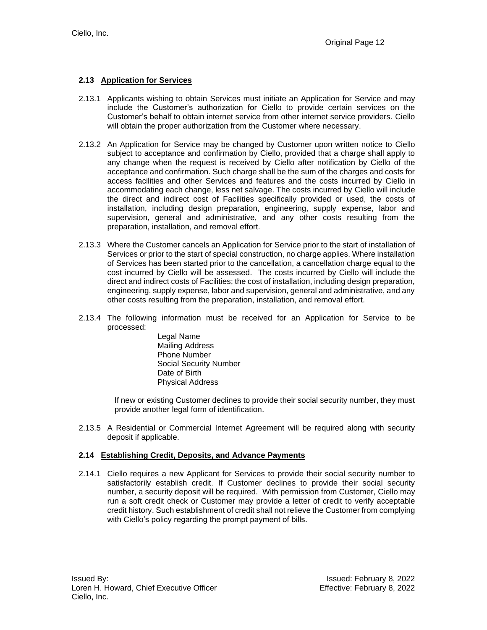### <span id="page-11-0"></span>**2.13 Application for Services**

- 2.13.1 Applicants wishing to obtain Services must initiate an Application for Service and may include the Customer's authorization for Ciello to provide certain services on the Customer's behalf to obtain internet service from other internet service providers. Ciello will obtain the proper authorization from the Customer where necessary.
- 2.13.2 An Application for Service may be changed by Customer upon written notice to Ciello subject to acceptance and confirmation by Ciello, provided that a charge shall apply to any change when the request is received by Ciello after notification by Ciello of the acceptance and confirmation. Such charge shall be the sum of the charges and costs for access facilities and other Services and features and the costs incurred by Ciello in accommodating each change, less net salvage. The costs incurred by Ciello will include the direct and indirect cost of Facilities specifically provided or used, the costs of installation, including design preparation, engineering, supply expense, labor and supervision, general and administrative, and any other costs resulting from the preparation, installation, and removal effort.
- 2.13.3 Where the Customer cancels an Application for Service prior to the start of installation of Services or prior to the start of special construction, no charge applies. Where installation of Services has been started prior to the cancellation, a cancellation charge equal to the cost incurred by Ciello will be assessed. The costs incurred by Ciello will include the direct and indirect costs of Facilities; the cost of installation, including design preparation, engineering, supply expense, labor and supervision, general and administrative, and any other costs resulting from the preparation, installation, and removal effort.
- 2.13.4 The following information must be received for an Application for Service to be processed:
	- Legal Name Mailing Address Phone Number Social Security Number Date of Birth Physical Address

If new or existing Customer declines to provide their social security number, they must provide another legal form of identification.

2.13.5 A Residential or Commercial Internet Agreement will be required along with security deposit if applicable.

### <span id="page-11-1"></span>**2.14 Establishing Credit, Deposits, and Advance Payments**

2.14.1 Ciello requires a new Applicant for Services to provide their social security number to satisfactorily establish credit. If Customer declines to provide their social security number, a security deposit will be required. With permission from Customer, Ciello may run a soft credit check or Customer may provide a letter of credit to verify acceptable credit history. Such establishment of credit shall not relieve the Customer from complying with Ciello's policy regarding the prompt payment of bills.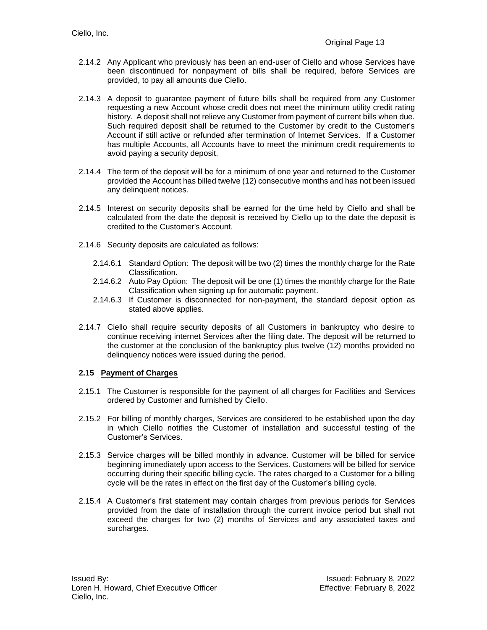- 2.14.2 Any Applicant who previously has been an end-user of Ciello and whose Services have been discontinued for nonpayment of bills shall be required, before Services are provided, to pay all amounts due Ciello.
- 2.14.3 A deposit to guarantee payment of future bills shall be required from any Customer requesting a new Account whose credit does not meet the minimum utility credit rating history. A deposit shall not relieve any Customer from payment of current bills when due. Such required deposit shall be returned to the Customer by credit to the Customer's Account if still active or refunded after termination of Internet Services. If a Customer has multiple Accounts, all Accounts have to meet the minimum credit requirements to avoid paying a security deposit.
- 2.14.4 The term of the deposit will be for a minimum of one year and returned to the Customer provided the Account has billed twelve (12) consecutive months and has not been issued any delinquent notices.
- 2.14.5 Interest on security deposits shall be earned for the time held by Ciello and shall be calculated from the date the deposit is received by Ciello up to the date the deposit is credited to the Customer's Account.
- 2.14.6 Security deposits are calculated as follows:
	- 2.14.6.1 Standard Option: The deposit will be two (2) times the monthly charge for the Rate Classification.
	- 2.14.6.2 Auto Pay Option: The deposit will be one (1) times the monthly charge for the Rate Classification when signing up for automatic payment.
	- 2.14.6.3 If Customer is disconnected for non-payment, the standard deposit option as stated above applies.
- 2.14.7 Ciello shall require security deposits of all Customers in bankruptcy who desire to continue receiving internet Services after the filing date. The deposit will be returned to the customer at the conclusion of the bankruptcy plus twelve (12) months provided no delinquency notices were issued during the period.

### <span id="page-12-0"></span>**2.15 Payment of Charges**

- 2.15.1 The Customer is responsible for the payment of all charges for Facilities and Services ordered by Customer and furnished by Ciello.
- 2.15.2 For billing of monthly charges, Services are considered to be established upon the day in which Ciello notifies the Customer of installation and successful testing of the Customer's Services.
- 2.15.3 Service charges will be billed monthly in advance. Customer will be billed for service beginning immediately upon access to the Services. Customers will be billed for service occurring during their specific billing cycle. The rates charged to a Customer for a billing cycle will be the rates in effect on the first day of the Customer's billing cycle.
- 2.15.4 A Customer's first statement may contain charges from previous periods for Services provided from the date of installation through the current invoice period but shall not exceed the charges for two (2) months of Services and any associated taxes and surcharges.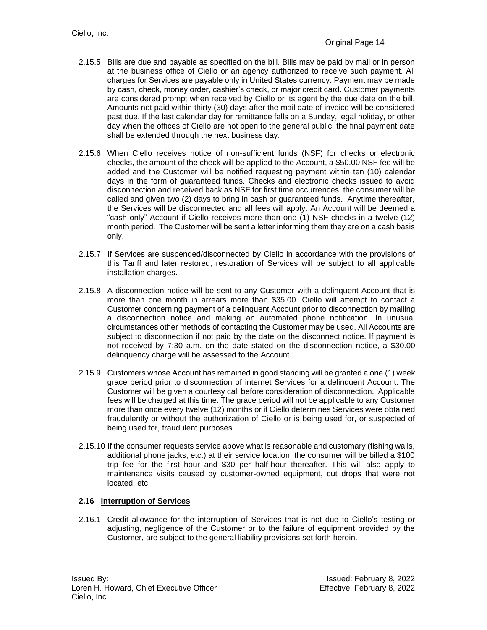- 2.15.5 Bills are due and payable as specified on the bill. Bills may be paid by mail or in person at the business office of Ciello or an agency authorized to receive such payment. All charges for Services are payable only in United States currency. Payment may be made by cash, check, money order, cashier's check, or major credit card. Customer payments are considered prompt when received by Ciello or its agent by the due date on the bill. Amounts not paid within thirty (30) days after the mail date of invoice will be considered past due. If the last calendar day for remittance falls on a Sunday, legal holiday, or other day when the offices of Ciello are not open to the general public, the final payment date shall be extended through the next business day.
- 2.15.6 When Ciello receives notice of non-sufficient funds (NSF) for checks or electronic checks, the amount of the check will be applied to the Account, a \$50.00 NSF fee will be added and the Customer will be notified requesting payment within ten (10) calendar days in the form of guaranteed funds. Checks and electronic checks issued to avoid disconnection and received back as NSF for first time occurrences, the consumer will be called and given two (2) days to bring in cash or guaranteed funds. Anytime thereafter, the Services will be disconnected and all fees will apply. An Account will be deemed a "cash only" Account if Ciello receives more than one (1) NSF checks in a twelve (12) month period. The Customer will be sent a letter informing them they are on a cash basis only.
- 2.15.7 If Services are suspended/disconnected by Ciello in accordance with the provisions of this Tariff and later restored, restoration of Services will be subject to all applicable installation charges.
- 2.15.8 A disconnection notice will be sent to any Customer with a delinquent Account that is more than one month in arrears more than \$35.00. Ciello will attempt to contact a Customer concerning payment of a delinquent Account prior to disconnection by mailing a disconnection notice and making an automated phone notification. In unusual circumstances other methods of contacting the Customer may be used. All Accounts are subject to disconnection if not paid by the date on the disconnect notice. If payment is not received by 7:30 a.m. on the date stated on the disconnection notice, a \$30.00 delinquency charge will be assessed to the Account.
- 2.15.9 Customers whose Account has remained in good standing will be granted a one (1) week grace period prior to disconnection of internet Services for a delinquent Account. The Customer will be given a courtesy call before consideration of disconnection. Applicable fees will be charged at this time. The grace period will not be applicable to any Customer more than once every twelve (12) months or if Ciello determines Services were obtained fraudulently or without the authorization of Ciello or is being used for, or suspected of being used for, fraudulent purposes.
- 2.15.10 If the consumer requests service above what is reasonable and customary (fishing walls, additional phone jacks, etc.) at their service location, the consumer will be billed a \$100 trip fee for the first hour and \$30 per half-hour thereafter. This will also apply to maintenance visits caused by customer-owned equipment, cut drops that were not located, etc.

### <span id="page-13-0"></span>**2.16 Interruption of Services**

2.16.1 Credit allowance for the interruption of Services that is not due to Ciello's testing or adjusting, negligence of the Customer or to the failure of equipment provided by the Customer, are subject to the general liability provisions set forth herein.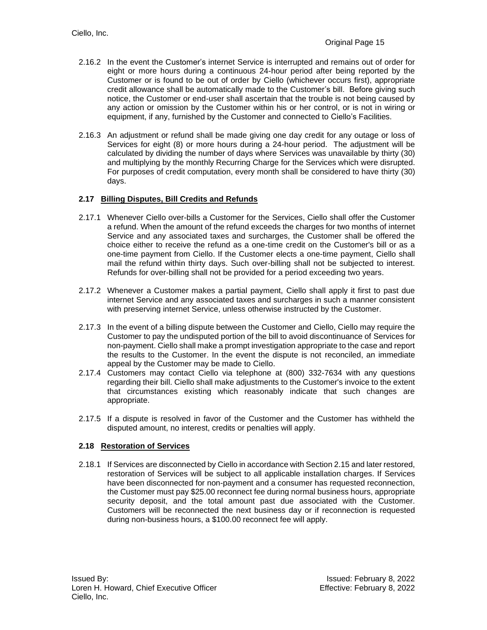- 2.16.2 In the event the Customer's internet Service is interrupted and remains out of order for eight or more hours during a continuous 24-hour period after being reported by the Customer or is found to be out of order by Ciello (whichever occurs first), appropriate credit allowance shall be automatically made to the Customer's bill. Before giving such notice, the Customer or end-user shall ascertain that the trouble is not being caused by any action or omission by the Customer within his or her control, or is not in wiring or equipment, if any, furnished by the Customer and connected to Ciello's Facilities.
- 2.16.3 An adjustment or refund shall be made giving one day credit for any outage or loss of Services for eight (8) or more hours during a 24-hour period. The adjustment will be calculated by dividing the number of days where Services was unavailable by thirty (30) and multiplying by the monthly Recurring Charge for the Services which were disrupted. For purposes of credit computation, every month shall be considered to have thirty (30) days.

# <span id="page-14-0"></span>**2.17 Billing Disputes, Bill Credits and Refunds**

- 2.17.1 Whenever Ciello over-bills a Customer for the Services, Ciello shall offer the Customer a refund. When the amount of the refund exceeds the charges for two months of internet Service and any associated taxes and surcharges, the Customer shall be offered the choice either to receive the refund as a one-time credit on the Customer's bill or as a one-time payment from Ciello. If the Customer elects a one-time payment, Ciello shall mail the refund within thirty days. Such over-billing shall not be subjected to interest. Refunds for over-billing shall not be provided for a period exceeding two years.
- 2.17.2 Whenever a Customer makes a partial payment, Ciello shall apply it first to past due internet Service and any associated taxes and surcharges in such a manner consistent with preserving internet Service, unless otherwise instructed by the Customer.
- 2.17.3 In the event of a billing dispute between the Customer and Ciello, Ciello may require the Customer to pay the undisputed portion of the bill to avoid discontinuance of Services for non-payment. Ciello shall make a prompt investigation appropriate to the case and report the results to the Customer. In the event the dispute is not reconciled, an immediate appeal by the Customer may be made to Ciello.
- 2.17.4 Customers may contact Ciello via telephone at (800) 332-7634 with any questions regarding their bill. Ciello shall make adjustments to the Customer's invoice to the extent that circumstances existing which reasonably indicate that such changes are appropriate.
- 2.17.5 If a dispute is resolved in favor of the Customer and the Customer has withheld the disputed amount, no interest, credits or penalties will apply.

### <span id="page-14-1"></span>**2.18 Restoration of Services**

2.18.1 If Services are disconnected by Ciello in accordance with Section 2.15 and later restored, restoration of Services will be subject to all applicable installation charges. If Services have been disconnected for non-payment and a consumer has requested reconnection, the Customer must pay \$25.00 reconnect fee during normal business hours, appropriate security deposit, and the total amount past due associated with the Customer. Customers will be reconnected the next business day or if reconnection is requested during non-business hours, a \$100.00 reconnect fee will apply.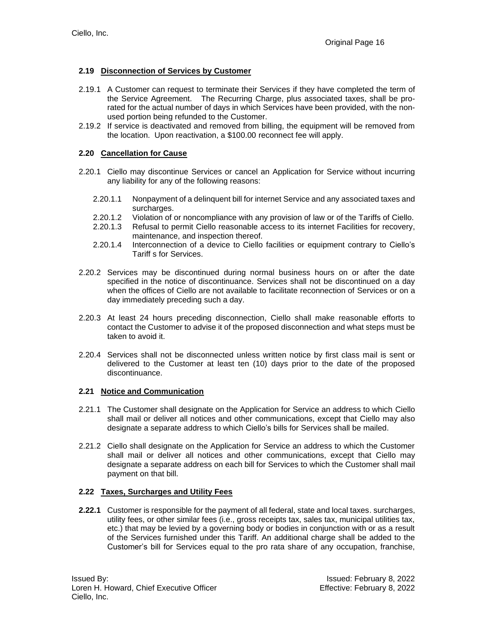## <span id="page-15-0"></span>**2.19 Disconnection of Services by Customer**

- 2.19.1 A Customer can request to terminate their Services if they have completed the term of the Service Agreement. The Recurring Charge, plus associated taxes, shall be prorated for the actual number of days in which Services have been provided, with the nonused portion being refunded to the Customer.
- 2.19.2 If service is deactivated and removed from billing, the equipment will be removed from the location. Upon reactivation, a \$100.00 reconnect fee will apply.

### <span id="page-15-1"></span>**2.20 Cancellation for Cause**

- 2.20.1 Ciello may discontinue Services or cancel an Application for Service without incurring any liability for any of the following reasons:
	- 2.20.1.1 Nonpayment of a delinquent bill for internet Service and any associated taxes and surcharges.
	- 2.20.1.2 Violation of or noncompliance with any provision of law or of the Tariffs of Ciello.
	- 2.20.1.3 Refusal to permit Ciello reasonable access to its internet Facilities for recovery, maintenance, and inspection thereof.
	- 2.20.1.4 Interconnection of a device to Ciello facilities or equipment contrary to Ciello's Tariff s for Services.
- 2.20.2 Services may be discontinued during normal business hours on or after the date specified in the notice of discontinuance. Services shall not be discontinued on a day when the offices of Ciello are not available to facilitate reconnection of Services or on a day immediately preceding such a day.
- 2.20.3 At least 24 hours preceding disconnection, Ciello shall make reasonable efforts to contact the Customer to advise it of the proposed disconnection and what steps must be taken to avoid it.
- 2.20.4 Services shall not be disconnected unless written notice by first class mail is sent or delivered to the Customer at least ten (10) days prior to the date of the proposed discontinuance.

### <span id="page-15-2"></span>**2.21 Notice and Communication**

- 2.21.1 The Customer shall designate on the Application for Service an address to which Ciello shall mail or deliver all notices and other communications, except that Ciello may also designate a separate address to which Ciello's bills for Services shall be mailed.
- 2.21.2 Ciello shall designate on the Application for Service an address to which the Customer shall mail or deliver all notices and other communications, except that Ciello may designate a separate address on each bill for Services to which the Customer shall mail payment on that bill.

### <span id="page-15-3"></span>**2.22 Taxes, Surcharges and Utility Fees**

**2.22.1** Customer is responsible for the payment of all federal, state and local taxes. surcharges, utility fees, or other similar fees (i.e., gross receipts tax, sales tax, municipal utilities tax, etc.) that may be levied by a governing body or bodies in conjunction with or as a result of the Services furnished under this Tariff. An additional charge shall be added to the Customer's bill for Services equal to the pro rata share of any occupation, franchise,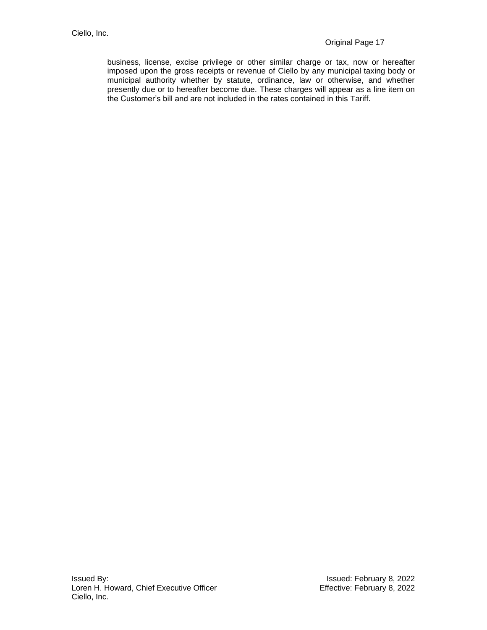<span id="page-16-0"></span>business, license, excise privilege or other similar charge or tax, now or hereafter imposed upon the gross receipts or revenue of Ciello by any municipal taxing body or municipal authority whether by statute, ordinance, law or otherwise, and whether presently due or to hereafter become due. These charges will appear as a line item on the Customer's bill and are not included in the rates contained in this Tariff.